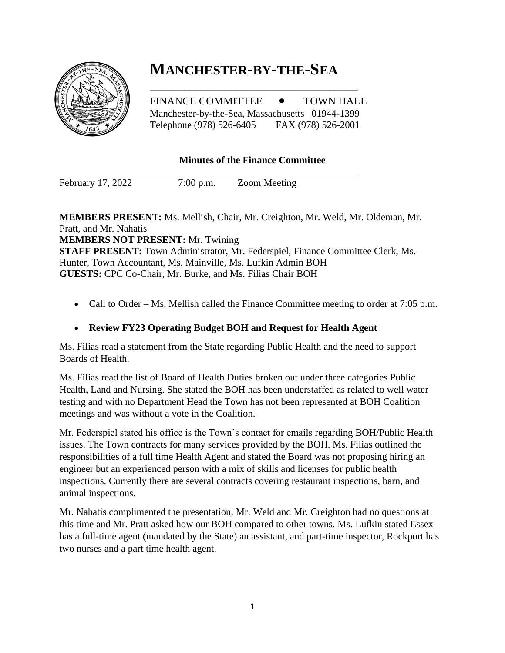# **MANCHESTER-BY-THE-SEA**

FINANCE COMMITTEE  $\bullet$  TOWN HALL Manchester-by-the-Sea, Massachusetts 01944-1399 Telephone (978) 526-6405 FAX (978) 526-2001

\_\_\_\_\_\_\_\_\_\_\_\_\_\_\_\_\_\_\_\_\_\_\_\_\_\_\_\_\_\_\_\_\_\_\_\_

## **Minutes of the Finance Committee**

February 17, 2022 7:00 p.m. Zoom Meeting

**MEMBERS PRESENT:** Ms. Mellish, Chair, Mr. Creighton, Mr. Weld, Mr. Oldeman, Mr. Pratt, and Mr. Nahatis **MEMBERS NOT PRESENT:** Mr. Twining **STAFF PRESENT:** Town Administrator, Mr. Federspiel, Finance Committee Clerk, Ms. Hunter, Town Accountant, Ms. Mainville, Ms. Lufkin Admin BOH **GUESTS:** CPC Co-Chair, Mr. Burke, and Ms. Filias Chair BOH

• Call to Order – Ms. Mellish called the Finance Committee meeting to order at 7:05 p.m.

#### • **Review FY23 Operating Budget BOH and Request for Health Agent**

Ms. Filias read a statement from the State regarding Public Health and the need to support Boards of Health.

Ms. Filias read the list of Board of Health Duties broken out under three categories Public Health, Land and Nursing. She stated the BOH has been understaffed as related to well water testing and with no Department Head the Town has not been represented at BOH Coalition meetings and was without a vote in the Coalition.

Mr. Federspiel stated his office is the Town's contact for emails regarding BOH/Public Health issues. The Town contracts for many services provided by the BOH. Ms. Filias outlined the responsibilities of a full time Health Agent and stated the Board was not proposing hiring an engineer but an experienced person with a mix of skills and licenses for public health inspections. Currently there are several contracts covering restaurant inspections, barn, and animal inspections.

Mr. Nahatis complimented the presentation, Mr. Weld and Mr. Creighton had no questions at this time and Mr. Pratt asked how our BOH compared to other towns. Ms. Lufkin stated Essex has a full-time agent (mandated by the State) an assistant, and part-time inspector, Rockport has two nurses and a part time health agent.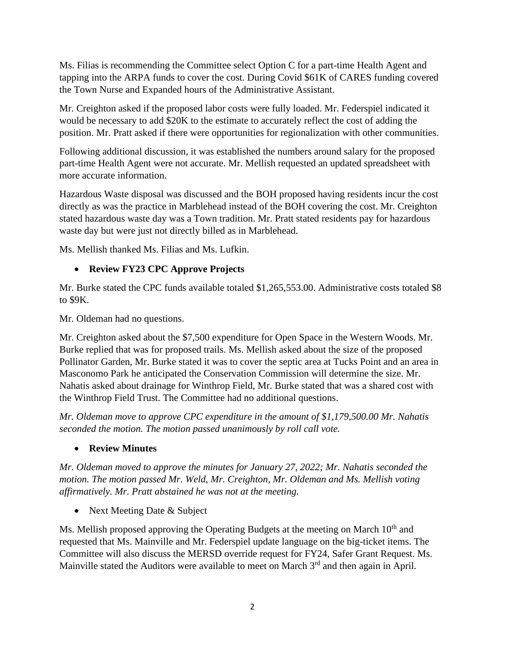Ms. Filias is recommending the Committee select Option C for a part-time Health Agent and tapping into the ARPA funds to cover the cost. During Covid \$61K of CARES funding covered the Town Nurse and Expanded hours of the Administrative Assistant.

Mr. Creighton asked if the proposed labor costs were fully loaded. Mr. Federspiel indicated it would be necessary to add \$20K to the estimate to accurately reflect the cost of adding the position. Mr. Pratt asked if there were opportunities for regionalization with other communities.

Following additional discussion, it was established the numbers around salary for the proposed part-time Health Agent were not accurate. Mr. Mellish requested an updated spreadsheet with more accurate information.

Hazardous Waste disposal was discussed and the BOH proposed having residents incur the cost directly as was the practice in Marblehead instead of the BOH covering the cost. Mr. Creighton stated hazardous waste day was a Town tradition. Mr. Pratt stated residents pay for hazardous waste day but were just not directly billed as in Marblehead.

Ms. Mellish thanked Ms. Filias and Ms. Lufkin.

### • **Review FY23 CPC Approve Projects**

Mr. Burke stated the CPC funds available totaled \$1,265,553.00. Administrative costs totaled \$8 to \$9K.

Mr. Oldeman had no questions.

Mr. Creighton asked about the \$7,500 expenditure for Open Space in the Western Woods. Mr. Burke replied that was for proposed trails. Ms. Mellish asked about the size of the proposed Pollinator Garden, Mr. Burke stated it was to cover the septic area at Tucks Point and an area in Masconomo Park he anticipated the Conservation Commission will determine the size. Mr. Nahatis asked about drainage for Winthrop Field, Mr. Burke stated that was a shared cost with the Winthrop Field Trust. The Committee had no additional questions.

*Mr. Oldeman move to approve CPC expenditure in the amount of \$1,179,500.00 Mr. Nahatis seconded the motion. The motion passed unanimously by roll call vote.* 

• **Review Minutes**

*Mr. Oldeman moved to approve the minutes for January 27, 2022; Mr. Nahatis seconded the motion. The motion passed Mr. Weld, Mr. Creighton, Mr. Oldeman and Ms. Mellish voting affirmatively. Mr. Pratt abstained he was not at the meeting.* 

• Next Meeting Date & Subject

Ms. Mellish proposed approving the Operating Budgets at the meeting on March  $10<sup>th</sup>$  and requested that Ms. Mainville and Mr. Federspiel update language on the big-ticket items. The Committee will also discuss the MERSD override request for FY24, Safer Grant Request. Ms. Mainville stated the Auditors were available to meet on March 3<sup>rd</sup> and then again in April.